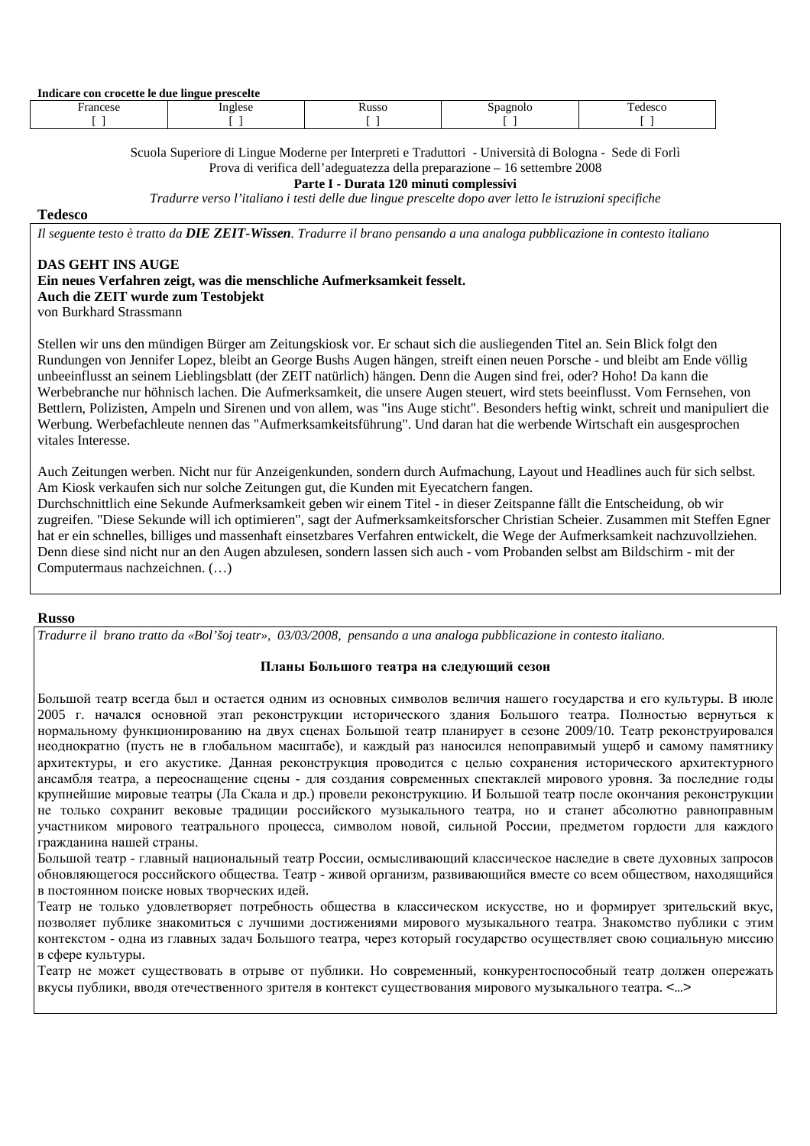| Indicare con crocette le due lingue prescelte |       |       |                |        |
|-----------------------------------------------|-------|-------|----------------|--------|
| rancese                                       | glese | tusso | <b>Pagnolo</b> | edesco |
|                                               |       |       |                |        |

Scuola Superiore di Lingue Moderne per Interpreti e Traduttori - Università di Bologna - Sede di Forlì Prova di verifica dell'adeguatezza della preparazione – 16 settembre 2008

**Parte I - Durata 120 minuti complessivi** 

*Tradurre verso l'italiano i testi delle due lingue prescelte dopo aver letto le istruzioni specifiche* 

**Tedesco** 

*Il seguente testo è tratto da DIE ZEIT-Wissen. Tradurre il brano pensando a una analoga pubblicazione in contesto italiano* 

## **DAS GEHT INS AUGE**

# **Ein neues Verfahren zeigt, was die menschliche Aufmerksamkeit fesselt. Auch die ZEIT wurde zum Testobjekt**

von Burkhard Strassmann

Stellen wir uns den mündigen Bürger am Zeitungskiosk vor. Er schaut sich die ausliegenden Titel an. Sein Blick folgt den Rundungen von Jennifer Lopez, bleibt an George Bushs Augen hängen, streift einen neuen Porsche - und bleibt am Ende völlig unbeeinflusst an seinem Lieblingsblatt (der ZEIT natürlich) hängen. Denn die Augen sind frei, oder? Hoho! Da kann die Werbebranche nur höhnisch lachen. Die Aufmerksamkeit, die unsere Augen steuert, wird stets beeinflusst. Vom Fernsehen, von Bettlern, Polizisten, Ampeln und Sirenen und von allem, was "ins Auge sticht". Besonders heftig winkt, schreit und manipuliert die Werbung. Werbefachleute nennen das "Aufmerksamkeitsführung". Und daran hat die werbende Wirtschaft ein ausgesprochen vitales Interesse.

Auch Zeitungen werben. Nicht nur für Anzeigenkunden, sondern durch Aufmachung, Layout und Headlines auch für sich selbst. Am Kiosk verkaufen sich nur solche Zeitungen gut, die Kunden mit Eyecatchern fangen.

Durchschnittlich eine Sekunde Aufmerksamkeit geben wir einem Titel - in dieser Zeitspanne fällt die Entscheidung, ob wir zugreifen. "Diese Sekunde will ich optimieren", sagt der Aufmerksamkeitsforscher Christian Scheier. Zusammen mit Steffen Egner hat er ein schnelles, billiges und massenhaft einsetzbares Verfahren entwickelt, die Wege der Aufmerksamkeit nachzuvollziehen. Denn diese sind nicht nur an den Augen abzulesen, sondern lassen sich auch - vom Probanden selbst am Bildschirm - mit der Computermaus nachzeichnen. (…)

## **Russo**

*Tradurre il brano tratto da «Bol'šoj teatr», 03/03/2008, pensando a una analoga pubblicazione in contesto italiano.* 

## **Планы Большого театра на следующий сезон**

Большой театр всегда был и остается одним из основных символов величия нашего государства и его культуры. В июле 2005 г. начался основной этап реконструкции исторического здания Большого театра. Полностью вернуться к нормальному функционированию на двух сценах Большой театр планирует в сезоне 2009/10. Tеатр реконструировался неоднократно (пусть не в глобальном масштабе), и каждый раз наносился непоправимый ущерб и самому памятнику архитектуры, и его акустике. Данная реконструкция проводится с целью сохранения исторического архитектурного ансамбля театра, а переоснащение сцены - для создания современных спектаклей мирового уровня. За последние годы крупнейшие мировые театры (Ла Скала и др.) провели реконструкцию. И Большой театр после окончания реконструкции не только сохранит вековые традиции российского музыкального театра, но и станет абсолютно равноправным участником мирового театрального процесса, символом новой, сильной России, предметом гордости для каждого гражданина нашей страны.

Большой театр - главный национальный театр России, осмысливающий классическое наследие в свете духовных запросов обновляющегося российского общества. Театр - живой организм, развивающийся вместе со всем обществом, находящийся в постоянном поиске новых творческих идей.

Театр не только удовлетворяет потребность общества в классическом искусстве, но и формирует зрительский вкус, позволяет публике знакомиться с лучшими достижениями мирового музыкального театра. Знакомство публики с этим контекстом - одна из главных задач Большого театра, через который государство осуществляет свою социальную миссию в сфере культуры.

Театр не может существовать в отрыве от публики. Но современный, конкурентоспособный театр должен опережать вкусы публики, вводя отечественного зрителя в контекст существования мирового музыкального театра. <…>